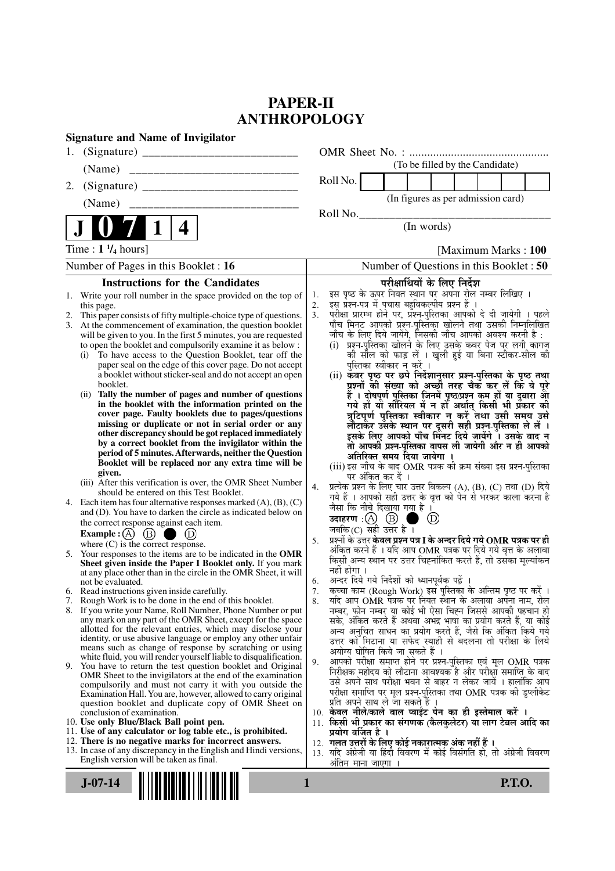# **PAPER-II ANTHROPOLOGY**

| <b>Signature and Name of Invigilator</b>                                                                                      |                                                                                                                                 |
|-------------------------------------------------------------------------------------------------------------------------------|---------------------------------------------------------------------------------------------------------------------------------|
| 1.                                                                                                                            |                                                                                                                                 |
| (Name)                                                                                                                        | (To be filled by the Candidate)                                                                                                 |
| 2.                                                                                                                            | Roll No.                                                                                                                        |
| (Name)                                                                                                                        | (In figures as per admission card)                                                                                              |
|                                                                                                                               | Roll No.                                                                                                                        |
| 4                                                                                                                             | (In words)                                                                                                                      |
| Time : $1 \frac{1}{4}$ hours]                                                                                                 | [Maximum Marks: 100]                                                                                                            |
| Number of Pages in this Booklet : 16                                                                                          | Number of Questions in this Booklet: 50                                                                                         |
| <b>Instructions for the Candidates</b>                                                                                        | परीक्षार्थियों के लिए निर्देश                                                                                                   |
| 1. Write your roll number in the space provided on the top of                                                                 | इस पृष्ठ के ऊपर नियत स्थान पर अपना रोल नम्बर लिखिए ।<br>1.<br>इस् प्रश्न-पत्र में पचास बहुविकल्पीय प्रश्न हैं।                  |
| this page.<br>This paper consists of fifty multiple-choice type of questions.<br>2.                                           | 2.<br>परीक्षा प्रारम्भ होने पर, प्रॅश्न-पुस्तिका आपको दे दी जायेगी । पहले<br>3.                                                 |
| 3. At the commencement of examination, the question booklet                                                                   | पाँच मिनट आपको प्रश्न-पुस्तिका खोलने तथा उसकी निम्नलिखित                                                                        |
| will be given to you. In the first 5 minutes, you are requested<br>to open the booklet and compulsorily examine it as below : | जाँच के लिए दिये जायेंगे, जिसकी जाँच आपको अवश्य करनी है :<br>(i) प्रश्न-पुस्तिका खोलने के लिए उसके कवर पेज पर लगी कागज          |
| To have access to the Question Booklet, tear off the<br>(i)                                                                   | को सील को फाड़ लें । खुली हुई या बिना स्टीकर-सील की                                                                             |
| paper seal on the edge of this cover page. Do not accept                                                                      | पुस्तिका स्वीकार न करें ।                                                                                                       |
| a booklet without sticker-seal and do not accept an open<br>booklet.                                                          | (ii) कॅवर पृष्ठ पर छपे निर्देशानुसार प्रश्न-पुस्तिका के पृष्ठ तथा<br>प्रश्नों की संख्या को अच्छौ तरह चैक कर लें कि ये पूरे      |
| (ii) Tally the number of pages and number of questions                                                                        | हैं । दोषपूर्ण पुस्तिका जिनमें पृष्ठ/प्रश्न कम हों या दुबारा आ<br>गये हों या सीरियल में न हो अर्थात् किसी भी प्रकार की          |
| in the booklet with the information printed on the<br>cover page. Faulty booklets due to pages/questions                      |                                                                                                                                 |
| missing or duplicate or not in serial order or any                                                                            | त्रुटिपूर्ण पुस्तिका स्वीकार न करें तथा उसी समय उसे<br>लौटाकर उसके स्थान पर दूसरी सही प्रश्न-पुस्तिका ले लें ।                  |
| other discrepancy should be got replaced immediately                                                                          | इसके लिए आपको पाँच मिनट दिये जायेंगे । उसके बाद न                                                                               |
| by a correct booklet from the invigilator within the<br>period of 5 minutes. Afterwards, neither the Question                 | तो आपकी प्रश्न-पुस्तिका वापस ली जायेगी और न ही आपको                                                                             |
| Booklet will be replaced nor any extra time will be                                                                           | अतिरिक्त समय दिया जायेगा ।<br>(iii) इस जाँच के बाद OMR पत्रक की क्रम संख्या इस प्रश्न-पुस्तिका                                  |
| given.                                                                                                                        | पर अंकित कर दें ।                                                                                                               |
| (iii) After this verification is over, the OMR Sheet Number<br>should be entered on this Test Booklet.                        | प्रत्येक प्रश्न के लिए चार उत्तर विकल्प (A), (B), (C) तथा (D) दिये<br>4.                                                        |
| 4. Each item has four alternative responses marked $(A)$ , $(B)$ , $(C)$                                                      | गये हैं । आपको सही उत्तर के वृत्त को पेन से भरकर काला करना है<br>जैसा कि नीचे दिखाया गया है ।                                   |
| and (D). You have to darken the circle as indicated below on                                                                  | उदाहरण $\,$ : $(A)$ $(B)$ ।<br>$^{\circledR}$                                                                                   |
| the correct response against each item.<br>(B)<br>Example : $(A)$<br>(D)                                                      | जबकि(C) सही उत्तर है ।                                                                                                          |
| where $(C)$ is the correct response.                                                                                          | प्रश्नों के उत्तर <b>केवल प्रश्न पत्र I के अन्दर दिये गये OMR पत्रक पर ही</b><br>5.                                             |
| 5. Your responses to the items are to be indicated in the OMR                                                                 | अंकित करने हैं । यदि आप OMR पत्रक पर दिये गये वृत्त के अलावा<br>किसी अन्य स्थान पर उत्तर चिह्नांकित करते हैं, तो उसका मृल्यांकन |
| Sheet given inside the Paper I Booklet only. If you mark<br>at any place other than in the circle in the OMR Sheet, it will   | नहीं होगा ।                                                                                                                     |
| not be evaluated.                                                                                                             | अन्दर दिये गये निर्देशों को ध्यानपूर्वक पढ़ें ।<br>6.<br>कृत्वा काम (Rough Work) इस पुस्तिका के अन्तिम पृष्ठ पर करें।           |
| 6. Read instructions given inside carefully.<br>Rough Work is to be done in the end of this booklet.<br>7.                    | र्याद आप OMR पत्रक पर नियत स्थान के अलावा अपना नाम, रोल<br>8.                                                                   |
| If you write your Name, Roll Number, Phone Number or put<br>8.                                                                | नम्बर, फोन नम्बर या कोई भी ऐसा चिह्न जिससे आपकी पहचान हो                                                                        |
| any mark on any part of the OMR Sheet, except for the space<br>allotted for the relevant entries, which may disclose your     | सके, अंकित करते हैं अथवा अभद्र भाषा का प्रयोग करते हैं, या कोई<br>अन्य अनुचित साधन का प्रयोग करते हैं, जैसे कि अंकित किये गये   |
| identity, or use abusive language or employ any other unfair                                                                  | उत्तर को मिटाना या सफेद स्याही से बदलना तो परीक्षा के लिये                                                                      |
| means such as change of response by scratching or using<br>white fluid, you will render yourself liable to disqualification.  | अयोग्य घोषित किये जा सकते हैं ।                                                                                                 |
| 9. You have to return the test question booklet and Original                                                                  | आपको परीक्षा समाप्त होने पर प्रश्न-पुस्तिका एवं मूल OMR पत्रक<br>9.                                                             |
| OMR Sheet to the invigilators at the end of the examination<br>compulsorily and must not carry it with you outside the        | निरीक्षक महोदय को लौटाना आवश्यक है और परीक्षा समाप्ति के बाद<br>उसे अपने साथ परीक्षा भवन से बाहर न लेकर जायें । हालांकि आप      |
| Examination Hall. You are, however, allowed to carry original                                                                 | परीक्षा समाप्ति पर मूल प्रश्न-पुस्तिका तथा OMR पत्रक की डुप्लीकेट                                                               |
| question booklet and duplicate copy of OMR Sheet on                                                                           | प्रति अपने साथ ले जा सकते है ।<br>10. केवल नीले/काले बाल प्वाईंट पेन का ही इस्तेमाल करें ।                                      |
| conclusion of examination.<br>10. Use only Blue/Black Ball point pen.                                                         | 11. किसी भी प्रकार का संगणक (कैलकुलेटर) या लाग टेबल आदि का                                                                      |
| 11. Use of any calculator or log table etc., is prohibited.                                                                   | प्रयोग वर्जित है ।                                                                                                              |
| 12. There is no negative marks for incorrect answers.<br>13. In case of any discrepancy in the English and Hindi versions,    | 12. गलत उत्तरों के लिए कोई नकारात्मक अंक नहीं हैं ।<br>13. यदि अंग्रेजी या हिंदी विवरण में कोई विसंगति हो, तो अंग्रेजी विवरण    |
| English version will be taken as final.                                                                                       | अंतिम माना जाएगा                                                                                                                |
|                                                                                                                               |                                                                                                                                 |
| $J-07-14$                                                                                                                     | <b>P.T.O.</b><br>1                                                                                                              |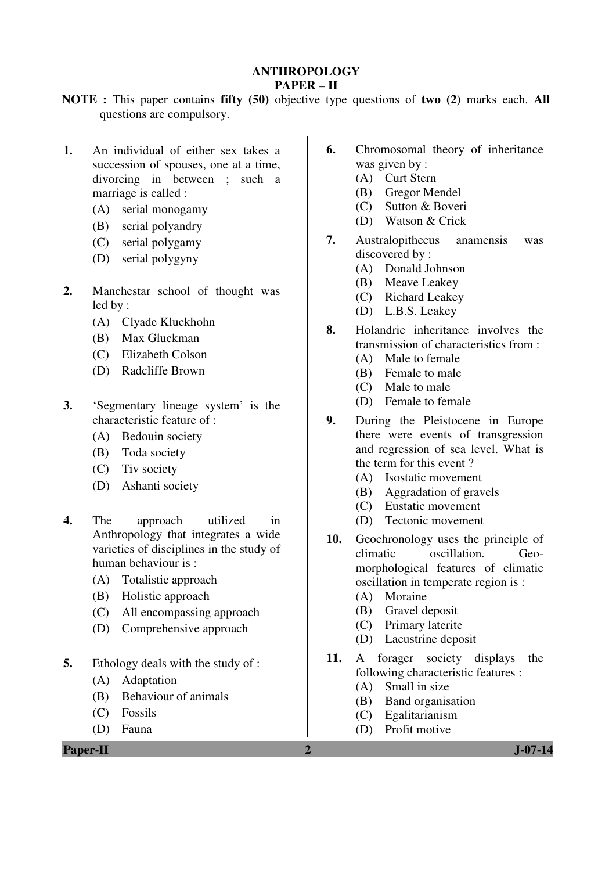## **ANTHROPOLOGY PAPER – II**

- **NOTE :** This paper contains **fifty (50)** objective type questions of **two (2)** marks each. **All** questions are compulsory.
- **1.** An individual of either sex takes a succession of spouses, one at a time, divorcing in between ; such a marriage is called :
	- (A) serial monogamy
	- (B) serial polyandry
	- (C) serial polygamy
	- (D) serial polygyny
- **2.** Manchestar school of thought was led by :
	- (A) Clyade Kluckhohn
	- (B) Max Gluckman
	- (C) Elizabeth Colson
	- (D) Radcliffe Brown
- **3.** 'Segmentary lineage system' is the characteristic feature of :
	- (A) Bedouin society
	- (B) Toda society
	- (C) Tiv society
	- (D) Ashanti society
- **4.** The approach utilized in Anthropology that integrates a wide varieties of disciplines in the study of human behaviour is :
	- (A) Totalistic approach
	- (B) Holistic approach
	- (C) All encompassing approach
	- (D) Comprehensive approach
- **5.** Ethology deals with the study of :
	- (A) Adaptation
	- (B) Behaviour of animals
	- (C) Fossils
	- (D) Fauna

**Paper-II 2 J-07-14** 

- **6.** Chromosomal theory of inheritance was given by :
	- (A) Curt Stern
	- (B) Gregor Mendel
	- (C) Sutton & Boveri
	- (D) Watson & Crick
- **7.** Australopithecus anamensis was discovered by :
	- (A) Donald Johnson
	- (B) Meave Leakey
	- (C) Richard Leakey
	- (D) L.B.S. Leakey
- **8.** Holandric inheritance involves the transmission of characteristics from :
	- (A) Male to female
	- (B) Female to male
	- (C) Male to male
	- (D) Female to female
- **9.** During the Pleistocene in Europe there were events of transgression and regression of sea level. What is the term for this event ?
	- (A) Isostatic movement
	- (B) Aggradation of gravels
	- (C) Eustatic movement
	- (D) Tectonic movement
- **10.** Geochronology uses the principle of climatic oscillation. Geomorphological features of climatic oscillation in temperate region is :
	- (A) Moraine
	- (B) Gravel deposit
	- (C) Primary laterite
	- (D) Lacustrine deposit
- **11.** A forager society displays the following characteristic features :
	- (A) Small in size
	- (B) Band organisation
	- (C) Egalitarianism
	- (D) Profit motive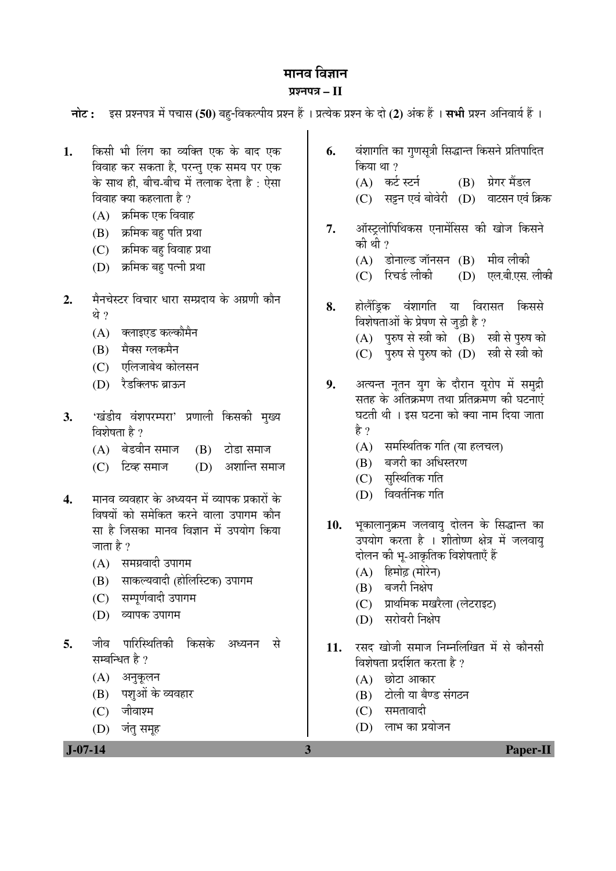# मानव विज्ञान ¯ÖÏ¿®Ö¯Ö¡Ö **– II**

| $J-07-14$                             |                                                                                                                                                                                                                                                                             | 3        | <b>Paper-II</b>                                                                                                                                                                                                                                                         |
|---------------------------------------|-----------------------------------------------------------------------------------------------------------------------------------------------------------------------------------------------------------------------------------------------------------------------------|----------|-------------------------------------------------------------------------------------------------------------------------------------------------------------------------------------------------------------------------------------------------------------------------|
| जीव<br>5.<br>(A)<br>(B)<br>(C)<br>(D) | पारिस्थितिकी<br>किसके<br>से<br>अध्यनन<br>सम्बन्धित है ?<br>अनुकूलन<br>पशुओं के व्यवहार<br>जीवाश्म<br>जंतु समूह                                                                                                                                                              | 11.      | रसद खोजी समाज निम्नलिखित में से कौनसी<br>विशेषता प्रदर्शित करता है ?<br>छोटा आकार<br>(A)<br>टोली या बैण्ड संगठन<br>(B)<br>$(C)$ समतावादी<br>लाभ का प्रयोजन<br>(D)                                                                                                       |
| (B)<br>(C)<br>(D)                     | विषयों को समेकित करने वाला उपागम कौन<br>सा है जिसका मानव विज्ञान में उपयोग किया<br>जाता है ?<br>(A) समग्रवादी उपागम<br>साकल्यवादी (होलिस्टिक) उपागम<br>सम्पूर्णवादी उपागम<br>व्यापक उपागम                                                                                   | 10.      | भूकालानुक्रम जलवायु दोलन के सिद्धान्त का<br>उपयोग करता है । शीतोष्ण क्षेत्र में जलवायु<br>दोलन की भू-आकृतिक विशेषताएँ हैं<br>हिमोढ़ (मोरेन)<br>(A)<br>बजरी निक्षेप<br>(B)<br>प्राथमिक मखरैला (लेटराइट)<br>(C)<br>सरोवरी निक्षेप<br>(D)                                  |
| 3.<br>(C)<br>$\overline{4}$ .         | 'खंडीय वंशपरम्परा' प्रणाली किसकी मुख्य<br>विशेषता है ?<br>(A) बेडवीन समाज<br>$(B)$ टोडा समाज<br>अशान्ति समाज<br>(D)<br>टिव्ह समाज<br>मानव व्यवहार के अध्ययन में व्यापक प्रकारों के                                                                                          |          | घटती थी । इस घटना को क्या नाम दिया जाता<br>है ?<br>(A) समस्थितिक गति (या हलचल)<br>बजरी का अधिस्तरण<br>(B)<br>(C) सुस्थितिक गति<br>विवर्तनिक गति<br>(D)                                                                                                                  |
| थे ?<br>(A)<br>(B)<br>(D)             | क्लाइएड कल्कौमैन<br>मैक्स ग्लकमैन<br>(C) एलिजाबेथ कोलसन<br>रैडक्लिफ ब्राऊन                                                                                                                                                                                                  | 9.       | विशेषताओं के प्रेषण से जुड़ी है ?<br>पुरुष से स्त्री को (B) स्त्री से पुरुष को<br>(A)<br>पुरुष से पुरुष को (D) स्त्री से स्त्री को<br>(C)<br>अत्यन्त नूतन युग के दौरान यूरोप में समुद्री<br>सतह के अतिक्रमण तथा प्रतिक्रमण की घटनाएं                                    |
| 2.                                    | विवाह कर सकता है, परन्तु एक समय पर एक<br>के साथ ही, बीच-बीच में तलाक देता है : ऐसा<br>विवाह क्या कहलाता है ?<br>(A) क्रमिक एक विवाह<br>(B) क्रमिक बहु पति प्रथा<br>(C) क्रमिक बहु विवाह प्रथा<br>(D) क्रमिक बहु पत्नी प्रथा<br>मैनचेस्टर विचार धारा सम्प्रदाय के अग्रणी कौन | 7.<br>8. | किया था ?<br>(A) कर्ट स्टर्न (B) ग्रेगर मैंडल<br>सट्टन एवं बोवेरी (D) वाटसन एवं क्रिक<br>(C)<br>ऑस्ट्रलोपिथिकस एनामेंसिस की खोज किसने<br>की थी ?<br>(A) डोनाल्ड जॉनसन (B) मीव लीकी<br>रिचर्ड लीकी<br>(D) एल.बी.एस. लीकी<br>(C)<br>होलैंड्रिक वंशागति या विरासत<br>किससे |
| 1.                                    | किसी भी लिंग का व्यक्ति एक के बाद एक                                                                                                                                                                                                                                        | 6.       | नोट: इस प्रश्नपत्र में पचास (50) बहु-विकल्पीय प्रश्न हैं । प्रत्येक प्रश्न के दो (2) अंक हैं । सभी प्रश्न अनिवार्य हैं ।<br>वंशागति का गुणसूत्री सिद्धान्त किसने प्रतिपादित                                                                                             |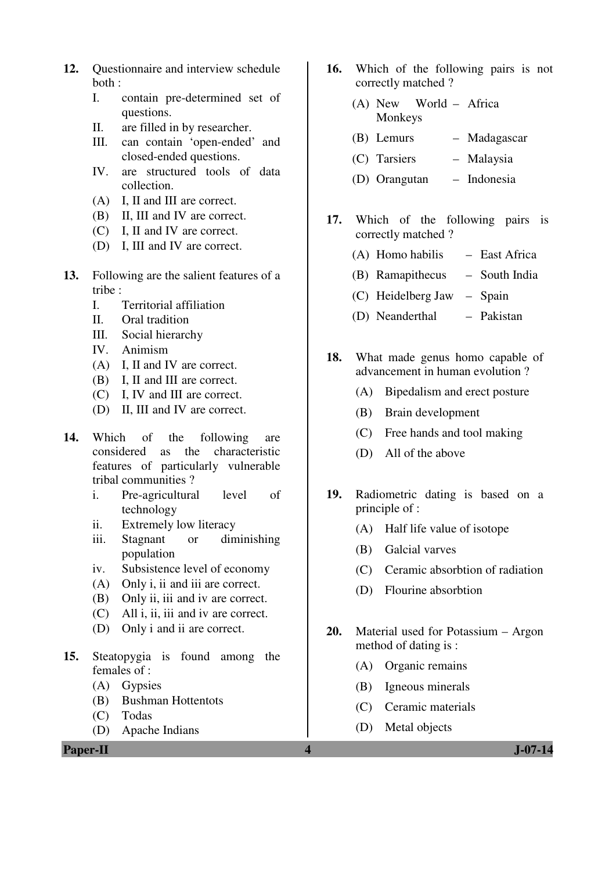- **12.** Questionnaire and interview schedule both :
	- I. contain pre-determined set of questions.
	- II. are filled in by researcher.
	- III. can contain 'open-ended' and closed-ended questions.
	- IV. are structured tools of data collection.
	- (A) I, II and III are correct.
	- (B) II, III and IV are correct.
	- (C) I, II and IV are correct.
	- (D) I, III and IV are correct.
- **13.** Following are the salient features of a tribe :
	- I. Territorial affiliation
	- II. Oral tradition
	- III. Social hierarchy
	- IV. Animism
	- (A) I, II and IV are correct.
	- (B) I, II and III are correct.
	- (C) I, IV and III are correct.
	- (D) II, III and IV are correct.
- **14.** Which of the following are considered as the characteristic features of particularly vulnerable tribal communities ?
	- i. Pre-agricultural level of technology
	- ii. Extremely low literacy
	- iii. Stagnant or diminishing population
	- iv. Subsistence level of economy
	- (A) Only i, ii and iii are correct.
	- (B) Only ii, iii and iv are correct.
	- (C) All i, ii, iii and iv are correct.
	- (D) Only i and ii are correct.
- **15.** Steatopygia is found among the females of :
	- (A) Gypsies
	- (B) Bushman Hottentots
	- (C) Todas
	- (D) Apache Indians

**Paper-II 4 J-07-14**

- **16.** Which of the following pairs is not correctly matched ?
	- (A) New World Africa Monkeys
	- (B) Lemurs Madagascar
	- (C) Tarsiers Malaysia
	- (D) Orangutan Indonesia
- **17.** Which of the following pairs is correctly matched ?
	- (A) Homo habilis East Africa
	- (B) Ramapithecus South India
	- (C) Heidelberg Jaw Spain
	- (D) Neanderthal Pakistan
- **18.** What made genus homo capable of advancement in human evolution ?
	- (A) Bipedalism and erect posture
	- (B) Brain development
	- (C) Free hands and tool making
	- (D) All of the above
- **19.** Radiometric dating is based on a principle of :
	- (A) Half life value of isotope
	- (B) Galcial varves
	- (C) Ceramic absorbtion of radiation
	- (D) Flourine absorbtion
- **20.** Material used for Potassium Argon method of dating is :
	- (A) Organic remains
	- (B) Igneous minerals
	- (C) Ceramic materials
	- (D) Metal objects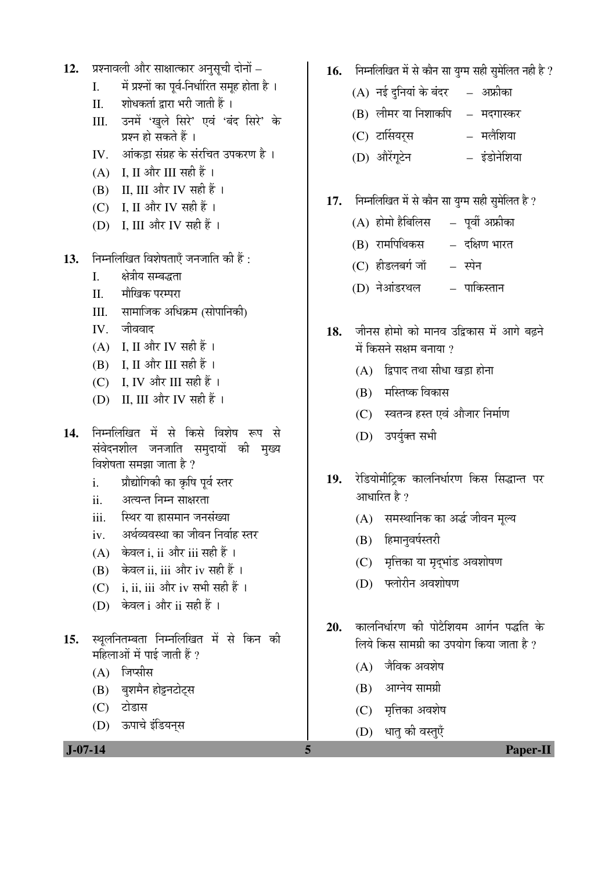- 12. प्रश्नावली और साक्षात्कार अनुसूची दोनों
	- I. `` में प्रश्नों का पूर्व-निर्धारित समूह होता है)।
	- II. शोधकर्ता द्वारा भरी जाती हैं ।
	- III. उनमें 'खुले सिरे' एवं 'बंद सिरे' के प्रश्न हो सकते हैं ।
	- IV. आंकड़ा संग्रह के संरचित उपकरण है ।
	- (A) I, II और III सही हैं।
	- $(B)$  II, III और IV सही हैं।
	- (C) I, II और IV सही हैं।
	- (D) I, III और IV सही हैं।
- 13. Fiम्नलिखित विशेषताएँ जनजाति की हैं:
	- I. क्षेत्रीय सम्बद्धता
	- II. मौखिक परम्परा
	- III. सामाजिक अधिक्रम (सोपानिकी)
	- IV. जीववाद
	- $(A)$  I, II और IV सही हैं।
	- $(B)$  I, II और III सही हैं।
	- $(C)$  I, IV और III सही हैं।
	- (D) II, III और IV सही हैं।
- 1**4.** निम्नलिखित में से किसे विशेष रूप से संवेदनशील जनजाति समदायों की मख्य विशेषता समझा जाता है ?
	- i. प्रौद्योगिकी का कृषि पूर्व स्तर
	- ii. अत्यन्त निम्न साक्षरता
	- iii. स्थिर या ह्रासमान जनसंख्या
	- iv. अर्थव्यवस्था का जीवन निर्वाह स्तर
	- (A) केवल i, ii और iii सही हैं ।
	- $(B)$  केवल ii, iii और iv सही हैं।
	- $(C)$  i, ii, iii और iv सभी सही हैं ।
	- (D) केवल i और ii सही हैं।
- 15. स्थलनितम्बता निम्नलिखित में से किन की महिलाओं में पाई जाती हैं ?
	- $(A)$  जिप्सीस
	- (B) बुशमैन होट्टनटोट्स
	- (C) टोडास
	- (D) ऊपाचे इंडियनस
- 16. निम्नलिखित में से कौन सा युग्म सही सुमेलित नही है ?
	- $(A)$  नई दुनियां के बंदर  $\quad$  अफ्रीका
	- $(B)$  लीमर या निशाकपि  $-$  मदगास्कर
	- (C) ™üÖÙÃÖµÖ¸ËüÃÖ ´Ö»Öî׿ֵÖÖ
	- (D) †Öî¸ëüÝÖæ™êü®Ö ‡Ó›üÖê®Öê׿ֵÖÖ
- 17. Fiमलिखित में से कौन सा युग्म सही सुमेलित है ?
	- $(A)$  होमो हैबिलिस  $-$  पूर्वी अफ्रीका
	- (B) रामपिथिकस दक्षिण भारत
	- (C) हीडलबर्ग जॉ स्पेन
	- (D) नेआंडरथल पाकिस्तान
- 18. जीनस होमो को मानव उद्विकास में आगे बढ़ने  $\check{\mathbf{H}}$  किसने सक्षम बनाया ?
	- $(A)$  द्विपाद तथा सीधा खड़ा होना
	- $(B)$  मस्तिष्क विकास
	- (C) स्वतन्त्र हस्त एवं औजार निर्माण
	- (D) उपर्युक्त सभी
- 19. रेडियोमीटिक कालनिर्धारण किस सिद्धान्त पर आधारित है  $\it ?$ 
	- (A) समस्थानिक का अर्द्ध जीवन मूल्य
	- (B) हिमानुवर्षस्तरी
	- (C) मृत्तिका या मृदुभांड अवशोषण
	- (D) फ्लोरीन अवशोषण
- 20. कालनिर्धारण की पोटैशियम आर्गन पद्धति के लिये किस सामग्री का उपयोग किया जाता है ?
	- $(A)$  जैविक अवशेष
	- $(B)$  आग्नेय सामग्री
	- (C) मृत्तिका अवशेष
	- (D) धातु की वस्तुएँ

 **J-07-14 5 Paper-II**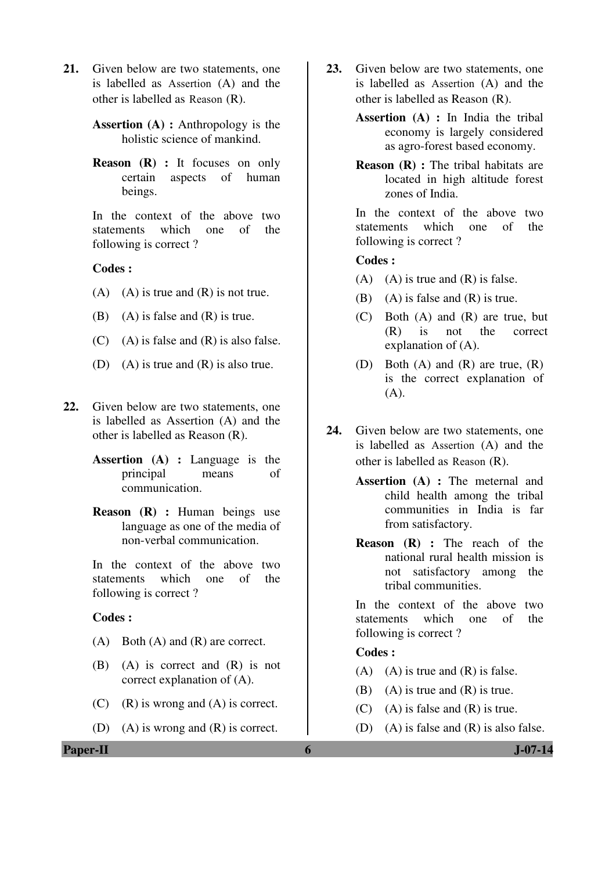**21.** Given below are two statements, one is labelled as Assertion (A) and the other is labelled as Reason (R).

> **Assertion (A) :** Anthropology is the holistic science of mankind.

> **Reason (R) :** It focuses on only certain aspects of human beings.

> In the context of the above two statements which one of the following is correct ?

## **Codes :**

- $(A)$   $(A)$  is true and  $(R)$  is not true.
- (B) (A) is false and  $(R)$  is true.
- $(C)$  (A) is false and  $(R)$  is also false.
- (D) (A) is true and (R) is also true.
- **22.** Given below are two statements, one is labelled as Assertion (A) and the other is labelled as Reason (R).
	- **Assertion (A) :** Language is the principal means of communication.
	- **Reason (R) :** Human beings use language as one of the media of non-verbal communication.

 In the context of the above two statements which one of the following is correct ?

#### **Codes :**

- (A) Both (A) and (R) are correct.
- (B) (A) is correct and (R) is not correct explanation of (A).
- (C) (R) is wrong and (A) is correct.
- (D) (A) is wrong and (R) is correct.
- **23.** Given below are two statements, one is labelled as Assertion (A) and the other is labelled as Reason (R).
	- **Assertion (A) :** In India the tribal economy is largely considered as agro-forest based economy.
	- **Reason (R) :** The tribal habitats are located in high altitude forest zones of India.

In the context of the above two statements which one of the following is correct ?

#### **Codes :**

- $(A)$  (A) is true and  $(R)$  is false.
- (B) (A) is false and  $(R)$  is true.
- (C) Both (A) and (R) are true, but (R) is not the correct explanation of (A).
- (D) Both (A) and (R) are true, (R) is the correct explanation of  $(A).$
- **24.** Given below are two statements, one is labelled as Assertion (A) and the other is labelled as Reason (R).
	- **Assertion (A) :** The meternal and child health among the tribal communities in India is far from satisfactory.
	- **Reason (R) :** The reach of the national rural health mission is not satisfactory among the tribal communities.

In the context of the above two statements which one of the following is correct ?

## **Codes :**

- $(A)$   $(A)$  is true and  $(R)$  is false.
- (B) (A) is true and  $(R)$  is true.
- $(C)$  (A) is false and  $(R)$  is true.
- (D) (A) is false and  $(R)$  is also false.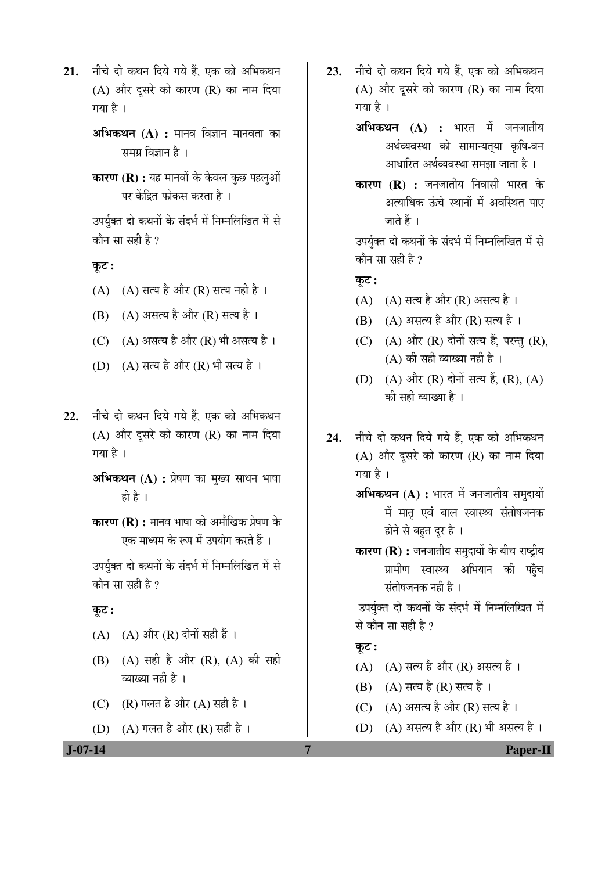- 21. नीचे दो कथन दिये गये हैं, एक को अभिकथन  $(A)$  और दूसरे को कारण  $(R)$  का नाम दिया गया है $\perp$ 
	- **अभिकथन (A) :** मानव विज्ञान मानवता का समग्र विज्ञान है ।
	- **कारण (R) :** यह मानवों के केवल कुछ पहलुओं पर केंद्रित फोकस करता है ।

उपर्यक्त दो कथनों के संदर्भ में निम्नलिखित में से कौन सा सही है ?

कूट :

- (A)  $(A)$  सत्य है और (R) सत्य नही है।
- (B) (A) असत्य है और (R) सत्य है।
- (C)  $(A)$  असत्य है और (R) भी असत्य है।
- (D)  $(A)$  सत्य है और  $(R)$  भी सत्य है।
- 22. नीचे दो कथन दिये गये हैं. एक को अभिकथन  $(A)$  और दूसरे को कारण  $(R)$  का नाम दिया गया है ।
	- अभिकथन (A) : प्रेषण का मुख्य साधन भाषा ही है ।
	- **कारण (R) :** मानव भाषा को अमौखिक प्रेषण के एक माध्यम के रूप में उपयोग करते हैं ।

उपर्युक्त दो कथनों के संदर्भ में निम्नलिखित में से कौन सा सही है ?

## कूट :

- $(A)$   $(A)$  और  $(R)$  दोनों सही हैं ।
- (B) (A) सही है और (R), (A) की सही व्याख्या नही है ।
- (C)  $(R)$  गलत है और  $(A)$  सही है।
- (D)  $(A)$  गलत है और  $(R)$  सही है।
- 23. नीचे दो कथन दिये गये हैं. एक को अभिकथन (A) और दूसरे को कारण (R) का नाम दिया गया है ।
	- **अभिकथन (A) :** भारत में जनजातीय अर्थव्यवस्था को सामान्यत्या कृषि-वन आधारित अर्थव्यवस्था समझा जाता है ।
	- **कारण (R) :** जनजातीय निवासी भारत के अत्याधिक ऊंचे स्थानों में अवस्थित पाए जाते हैं ।

उपर्युक्त दो कथनों के संदर्भ में निम्नलिखित में से कौन सा सही है ?

 $\overline{q}$ ः

- (A)  $(A)$  सत्य है और (R) असत्य है।
- (B) (A) असत्य है और (R) सत्य है।
- $(C)$   $(A)$  और  $(R)$  दोनों सत्य हैं, परन्तु  $(R)$ ,  $(A)$  की सही व्याख्या नही है ।
- (D)  $(A)$  और  $(R)$  दोनों सत्य हैं,  $(R)$ ,  $(A)$ की सही व्याख्या है ।
- 24. नीचे दो कथन दिये गये हैं. एक को अभिकथन (A) और दूसरे को कारण (R) का नाम दिया गया है। **अभिकथन (A) :** भारत में जनजातीय समदायों में मातृ एवं बाल स्वास्थ्य संतोषजनक होने से बहुत दूर है । **कारण (R) :** जनजातीय समुदायों के बीच राष्ट्रीय ग्रामीण स्वास्थ्य अभियान की पहुँच संतोषजनक नही है । उपर्युक्त दो कथनों के संदर्भ में निम्नलिखित में से कौन सा सही है ? कूट : (A)  $(A)$  सत्य है और (R) असत्य है।
	- (B) (A) सत्य है (R) सत्य है ।
	- $(C)$   $(A)$  असत्य है और  $(R)$  सत्य है ।
	- (D)  $(A)$  असत्य है और  $(R)$  भी असत्य है।

 **J-07-14 7 Paper-II**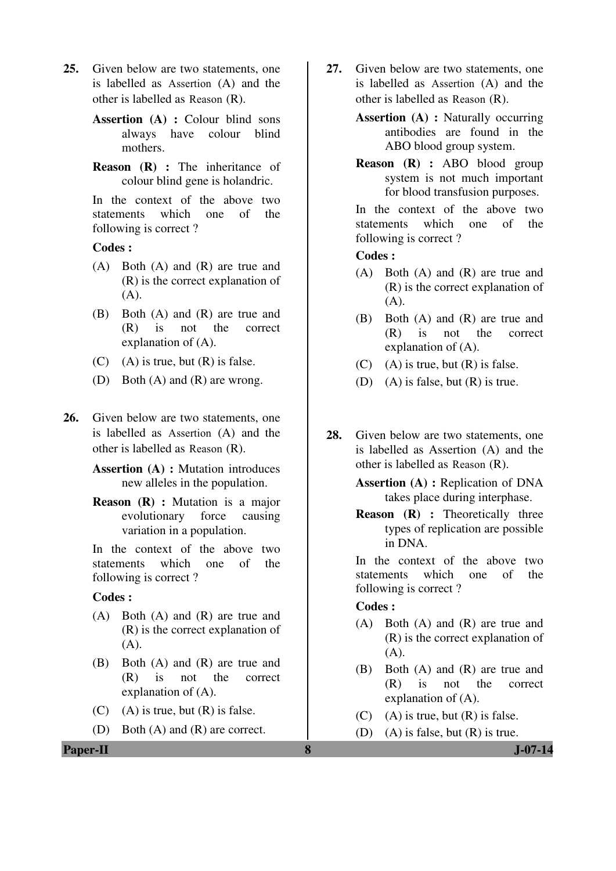- **25.** Given below are two statements, one is labelled as Assertion (A) and the other is labelled as Reason (R).
	- **Assertion (A) :** Colour blind sons always have colour blind mothers.
	- **Reason** (**R**) : The inheritance of colour blind gene is holandric.

In the context of the above two statements which one of the following is correct ?

#### **Codes :**

- (A) Both (A) and (R) are true and (R) is the correct explanation of (A).
- (B) Both (A) and (R) are true and (R) is not the correct explanation of (A).
- $(C)$  (A) is true, but  $(R)$  is false.
- (D) Both (A) and (R) are wrong.
- **26.** Given below are two statements, one is labelled as Assertion (A) and the other is labelled as Reason (R).
	- **Assertion (A) :** Mutation introduces new alleles in the population.
	- **Reason (R) :** Mutation is a major evolutionary force causing variation in a population.

In the context of the above two statements which one of the following is correct ?

#### **Codes :**

- (A) Both (A) and (R) are true and (R) is the correct explanation of (A).
- (B) Both (A) and (R) are true and (R) is not the correct explanation of (A).
- $(C)$  (A) is true, but  $(R)$  is false.
- (D) Both (A) and (R) are correct.
- **27.** Given below are two statements, one is labelled as Assertion (A) and the other is labelled as Reason (R).
	- **Assertion (A) :** Naturally occurring antibodies are found in the ABO blood group system.
	- **Reason (R) :** ABO blood group system is not much important for blood transfusion purposes.

In the context of the above two statements which one of the following is correct ?

## **Codes :**

- (A) Both (A) and (R) are true and (R) is the correct explanation of (A).
- (B) Both (A) and (R) are true and (R) is not the correct explanation of (A).
- $(C)$  (A) is true, but  $(R)$  is false.
- (D) (A) is false, but (R) is true.
- **28.** Given below are two statements, one is labelled as Assertion (A) and the other is labelled as Reason (R).
	- **Assertion (A) :** Replication of DNA takes place during interphase.
	- **Reason** (**R**) : Theoretically three types of replication are possible in DNA.

In the context of the above two statements which one of the following is correct ?

### **Codes :**

- (A) Both (A) and (R) are true and (R) is the correct explanation of (A).
- (B) Both (A) and (R) are true and (R) is not the correct explanation of (A).
- $(C)$  (A) is true, but  $(R)$  is false.
- (D) (A) is false, but  $(R)$  is true.

**Paper-II 8 J-07-14**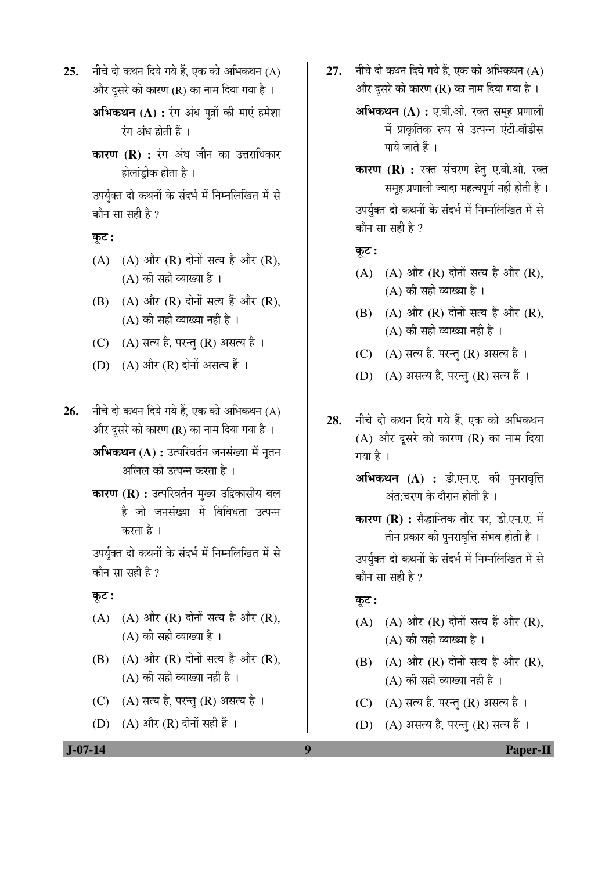25. नीचे दो कथन दिये गये हैं. एक को अभिकथन (A) और दूसरे को कारण (R) का नाम दिया गया है ।

> अभिकथन (A) : रंग अंध पुत्रों की माएं हमेशा  $\overline{v}$ ग अंध होती हैं।

> **कारण (R) :** रंग अंध जीन का उत्तराधिकार होलांड़ीक होता है ।

> उपर्युक्त दो कथनों के संदर्भ में निम्नलिखित में से कौन सा सही है ?

# कूट :

- $(A)$   $(A)$  और  $(R)$  दोनों सत्य है और  $(R)$ ,  $(A)$  की सही व्याख्या है।
- $(B)$   $(A)$  और  $(R)$  दोनों सत्य हैं और  $(R)$ ,  $(A)$  की सही व्याख्या नही है ।
- (C) (A) सत्य है, परन्तु (R) असत्य है।
- (D) (A) और (R) दोनों असत्य हैं ।
- 26. नीचे दो कथन दिये गये हैं, एक को अभिकथन (A) और दूसरे को कारण (R) का नाम दिया गया है ।
	- **अभिकथन (A) :** उत्परिवर्तन जनसंख्या में नृतन अलिल को उत्पन्न करता है ।
	- **कारण (R) :** उत्परिवर्तन मुख्य उद्विकासीय बल है जो जनसंख्या में विविधता उत्पन्न करता है ।

उपर्युक्त दो कथनों के संदर्भ में निम्नलिखित में से कौन सा सही है ?

# कूट :

- $(A)$   $(A)$  और  $(R)$  दोनों सत्य है और  $(R)$ ,  $(A)$  की सही व्याख्या है।
- $(B)$   $(A)$  और  $(R)$  दोनों सत्य हैं और  $(R)$ ,  $(A)$  की सही व्याख्या नही है ।
- (C) (A) सत्य है, परन्तु (R) असत्य है।
- (D)  $(A)$  और  $(R)$  दोनों सही हैं ।

27. नीचे दो कथन दिये गये हैं. एक को अभिकथन (A) और दूसरे को कारण  $(R)$  का नाम दिया गया है।

> **अभिकथन (A) :** ए.बी.ओ. रक्त समह प्रणाली में प्राकृतिक रूप से उत्पन्न एंटी-बॉडीस पाये जाते हैं ।

**कारण (R) :** रक्त संचरण हेतु ए.बी.ओ. रक्त समह प्रणाली ज्यादा महत्वपूर्ण नहीं होती है ।

उपर्युक्त दो कथनों के संदर्भ में निम्नलिखित में से कौन सा सही है  $\overline{?}$ 

# $\overline{\phi}$ :

- $(A)$   $(A)$  और  $(R)$  दोनों सत्य है और  $(R)$ ,  $(A)$  की सही व्याख्या है।
- $(B)$   $(A)$  और  $(R)$  दोनों सत्य हैं और  $(R)$ .  $(A)$  की सही व्याख्या नही है ।
- (C) (A) सत्य है, परन्तु (R) असत्य है।
- (D) (A) असत्य है, परन्तु (R) सत्य हैं ।
- 28. नीचे दो कथन दिये गये हैं. एक को अभिकथन (A) और दूसरे को कारण (R) का नाम दिया गया है ।
	- अभिकथन (A) : डी.एन.ए. की पुनरावृत्ति  $\frac{1}{3}$ अंत:चरण के दौरान होती है।
	- **कारण (R) :** सैद्धान्तिक तौर पर, डी.एन.ए. में तीन प्रकार की पुनरावृत्ति संभव होती है ।

उपर्युक्त दो कथनों के संदर्भ में निम्नलिखित में से कौन सा सही है ?

## कूट :

- $(A)$   $(A)$  और  $(R)$  दोनों सत्य हैं और  $(R)$ ,  $(A)$  की सही व्याख्या है।
- $(B)$   $(A)$  और  $(R)$  दोनों सत्य हैं और  $(R)$ .  $(A)$  की सही व्याख्या नही है ।
- (C) (A) सत्य है, परन्तु (R) असत्य है।
- (D) (A) असत्य है, परन्तु (R) सत्य हैं ।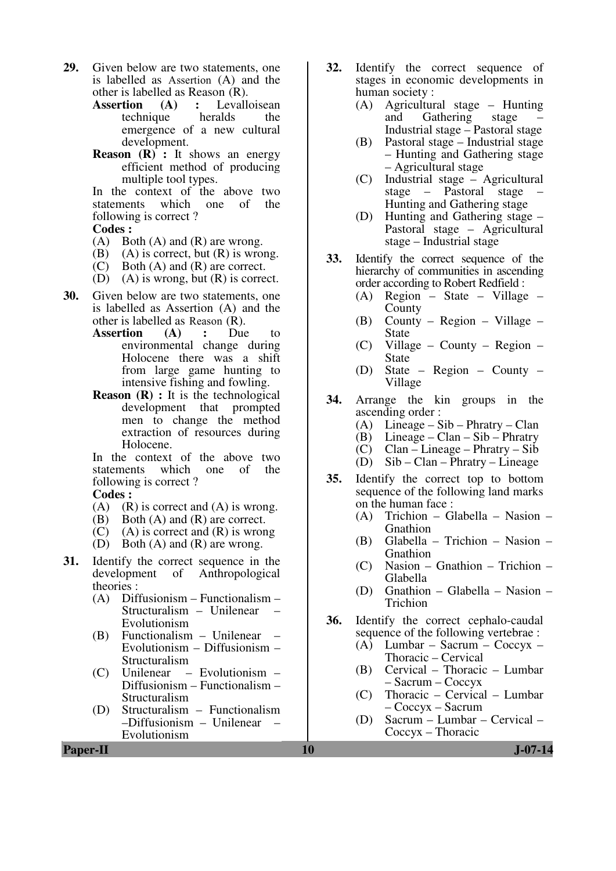- **29.** Given below are two statements, one is labelled as Assertion (A) and the other is labelled as Reason  $(R)$ .<br>Assertion  $(A)$ : Levall
	- **Conservertion**<br>the radds the technique emergence of a new cultural development.
	- **Reason (R) :** It shows an energy efficient method of producing multiple tool types.

In the context of the above two<br>statements which one of the which one of following is correct ?

#### **Codes :**

- (A) Both (A) and (R) are wrong.<br>(B) (A) is correct, but (R) is wrong.
- $(A)$  is correct, but  $(R)$  is wrong.
- (C) Both (A) and (R) are correct.
- (D) (A) is wrong, but  $(R)$  is correct.
- **30.** Given below are two statements, one is labelled as Assertion (A) and the other is labelled as Reason (R).
	- **Assertion (A) :** Due to environmental change during Holocene there was a shift from large game hunting to intensive fishing and fowling.
	- **Reason** (**R**) : It is the technological development that prompted men to change the method extraction of resources during Holocene.

In the context of the above two statements which one of the following is correct ?

# **Codes :**

- $(A)$   $(R)$  is correct and  $(A)$  is wrong.
- (B) Both (A) and (R) are correct.
- $(C)$  (A) is correct and  $(R)$  is wrong
- (D) Both (A) and (R) are wrong.
- **31.** Identify the correct sequence in the development of Anthropological theories :<br>(A)  $\overrightarrow{D}$ 
	- (A) Diffusionism Functionalism Structuralism – Unilenear – Evolutionism
	- (B) Functionalism Unilenear Evolutionism – Diffusionism – Structuralism
	- (C) Unilenear Evolutionism Diffusionism – Functionalism – Structuralism
	- (D) Structuralism Functionalism –Diffusionism – Unilenear – Evolutionism
- **32.** Identify the correct sequence of stages in economic developments in human society :
	- (A) Agricultural stage Hunting Gathering Industrial stage – Pastoral stage
	- (B) Pastoral stage Industrial stage – Hunting and Gathering stage – Agricultural stage
	- (C) Industrial stage Agricultural stage – Pastoral stage – Hunting and Gathering stage
	- (D) Hunting and Gathering stage Pastoral stage – Agricultural stage – Industrial stage
- **33.** Identify the correct sequence of the hierarchy of communities in ascending order according to Robert Redfield :
	- (A) Region State Village County
	- (B) County Region Village State
	- (C) Village County Region State
	- (D) State Region County Village
- **34.** Arrange the kin groups in the ascending order :
	- (A) Lineage Sib Phratry Clan
	- (B) Lineage Clan Sib Phratry
	- (C) Clan Lineage Phratry Sib
	- (D) Sib Clan Phratry Lineage
- **35.** Identify the correct top to bottom sequence of the following land marks on the human face :
	- (A) Trichion Glabella Nasion Gnathion
	- (B) Glabella Trichion Nasion Gnathion
	- (C) Nasion Gnathion Trichion Glabella
	- (D) Gnathion Glabella Nasion Trichion
- **36.** Identify the correct cephalo-caudal sequence of the following vertebrae :
	- (A) Lumbar Sacrum Coccyx Thoracic – Cervical
	- (B) Cervical Thoracic Lumbar – Sacrum – Coccyx
	- (C) Thoracic Cervical Lumbar – Coccyx – Sacrum
	- (D) Sacrum Lumbar Cervical Coccyx – Thoracic

**Paper-II 10** J-07-14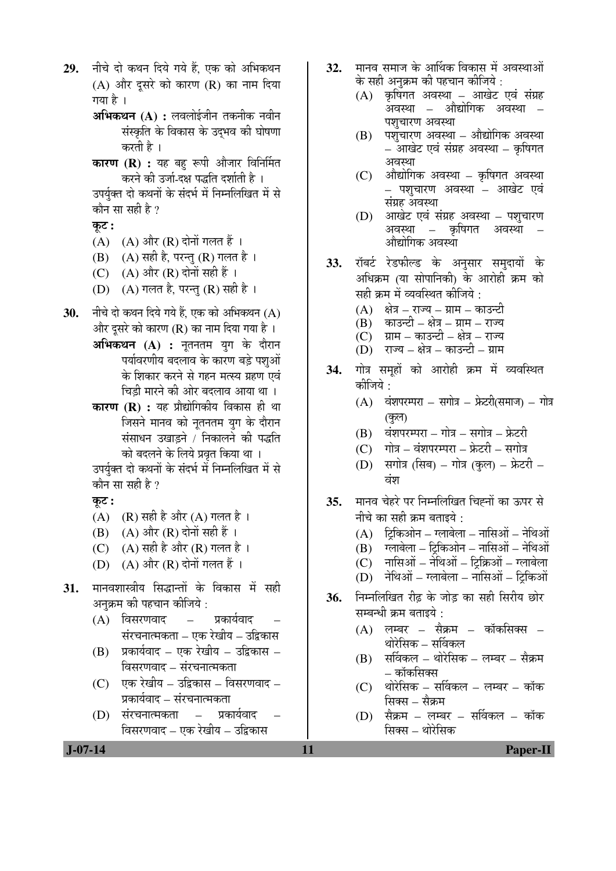29. नीचे दो कथन दिये गये हैं. एक को अभिकथन  $(A)$  और दुसरे को कारण  $(R)$  का नाम दिया गया है $\perp$ **अभिकथन (A) :** लवलोईजीन तकनीक नवीन संस्कृति के विकास के उदभव की घोषणा करती है । **कारण (R) :** यह बहु रूपी औजार विनिर्मित करने की उर्जा-दक्ष पद्धति दर्शाती है । उपर्युक्त दो कथनों के संदर्भ में निम्नलिखित में से कौन सा सही है ? कुट :  $(A)$   $(A)$  और  $(R)$  दोनों गलत हैं । (B)  $(A)$  सही है, परन्तु (R) गलत है । (C)  $(A)$  और  $(R)$  दोनों सही हैं । (D)  $(A)$  गलत है, परन्तु (R) सही है । 30. • नीचे दो कथन दिये गये हैं. एक को अभिकथन (A) और दुसरे को कारण (R) का नाम दिया गया है । **अभिकथन (A) :** नूतनतम युग के दौरान पर्यावरणीय बदलाव के कारण बडे पशओं के शिकार करने से गहन मत्स्य ग्रहण एवं चिडी मारने की ओर बदलाव आया था । **कारण (R) :** यह प्रौद्योगिकीय विकास ही था जिसने मानव को नूतनतम युग के दौरान संसाधन उखाड़ने / निकालने की पद्धति को बदलने के लिये प्रवृत किया था । उपर्युक्त दो कथनों के संदर्भ में निम्नलिखित में से कौन सा सही है ? Ûæú™ü **:**  (A)  $(R)$  सही है और (A) गलत है ।  $(B)$   $(A)$  और  $(R)$  दोनों सही हैं । (C)  $(A)$  सही है और (R) गलत है ।  $(D)$   $(A)$  और  $(R)$  दोनों गलत हैं । 31. मानवशास्त्रीय सिद्धान्तों के विकास में सही अनुक्रम की पहचान कीजिये : (A) विसरणवाद – प्रकार्यवाद संरचनात्मकता – एक रेखीय – उद्विकास  $(B)$  प्रकार्यवाद – एक रेखीय – उद्विकास – <u>विसरणवाद – संरचनात्मकता</u> (C) एक रेखीय – उद्विकास – विसरणवाद – प्रकार्यवाद – संरचनात्मकता (D) संरचनात्मकता – प्रकार्यवाद विसरणवाद – एक रेखीय – उद्विकास

- 32. मानव समाज के आर्थिक विकास में अवस्थाओं के सही अनुक्रम की पहचान कीजिये :
	- $(A)$  कृषिगत अवस्था आखेट एवं संग्रह  $\bar{3}$ कवस्था – औद्योगिक अवस्था – पशुचारण अवस्था
	- $(B)$  पशुचारण अवस्था औद्योगिक अवस्था – आखेट एवं संग्रह अवस्था – कृषिगत अवस्था
	- $(C)$  औद्योगिक अवस्था कृषिगत अवस्था – पशचारण अवस्था – आखेट एवं संग्रह अवस्था
	- (D) आखेट एवं संग्रह अवस्था पशुचारण अवस्था – कृषिगत अवस्था औद्योगिक अवस्था
- 33. रॉबर्ट रेडफील्ड के अनुसार समुदायों के अधिक्रम (या सोपानिकी) के आरोही क्रम को सही क्रम में व्यवस्थित कीजिये :
	- (A) §क्षेत्र राज्य ग्राम काउन्टी<br>(B) §काउन्टी क्षेत्र ग्राम राज्य
	- ्काउन्टी क्षेत्र ग्राम राज्य
	- $\overline{\text{C}}$ ) ग्राम काउन्टी क्षेत्र राज्य
	- (D) राज्य क्षेत्र काउन्टी ग्राम
- 34. गोत्र समूहों को आरोही क्रम में व्यवस्थित कोजिये  $\cdot$ 
	- $(A)$  वंशपरम्परा सगोत्र फ्रेटरी(समाज) गोत्र (কুল)
	- $(B)$  वंशपरम्परा गोत्र सगोत्र फ्रेटरी
	- $(C)$  गोत्र वंशपरम्परा फ्रेटरी सगोत्र
	- (D) सगोत्र (सिब) गोत्र (कुल) फ्रेटरी वंश
- 35. मानव चेहरे पर निम्नलिखित चिह्नों का ऊपर से नीचे का सही क्रम बताइये $\cdot$ 
	- $(A)$  हिकिओन ग्लाबेला नासिओं नेथिओं
	- $(B)$  गलाबेला टिकिओन नासिओं नेथिओं
	- $(C)$  नासिओं नेथिओं ट्रिक्रिओं ग्लाबेला
	- $(D)$  नेथिओं ग्लाबेला नासिओं ट्रिकिओं
- **36.** निम्नलिखित रीढ के जोड का सही सिरीय छोर सम्बन्धी क्रम बताइये :
	- $(A)$  लम्बर सैक्रम कॉकसिक्स थोरेसिक – सर्विकल
	- $(B)$  सर्विकल थोरेसिक लम्बर सैक्रम – कॉकसिक्स
	- $(C)$  थोरेसिक सर्विकल लम्बर कॉक सिक्स – सैक्रम
	- (D) सैक्रम लम्बर सर्विकल कॉक सिक्स – थोरेसिक

 **J-07-14 11 Paper-II**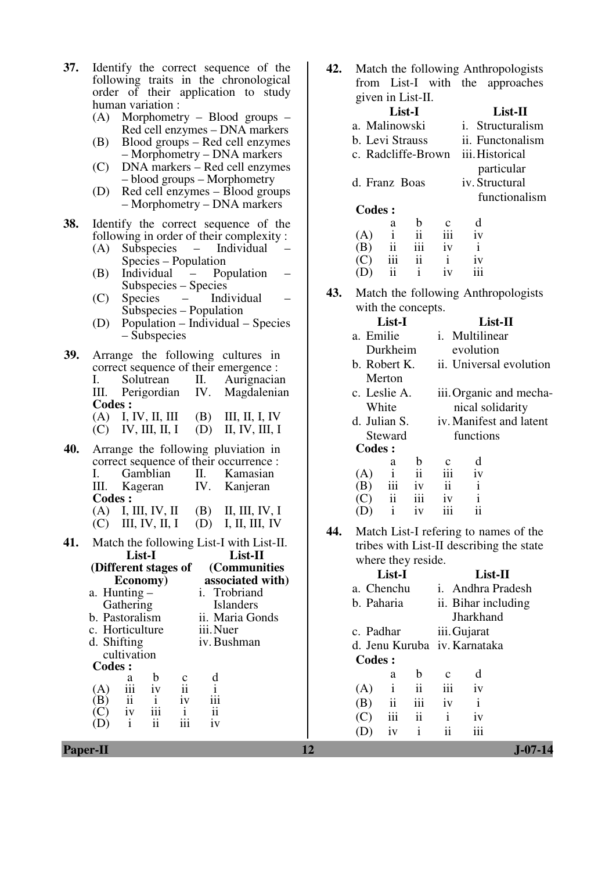- **37.** Identify the correct sequence of the following traits in the chronological order of their application to study human variation : (A) Morphometry – Blood groups – Red cell enzymes – DNA markers (B) Blood groups – Red cell enzymes – Morphometry – DNA markers (C) DNA markers – Red cell enzymes – blood groups – Morphometry (D) Red cell enzymes – Blood groups – Morphometry – DNA markers **38.** Identify the correct sequence of the following in order of their complexity : (A) Subspecies – Individual Species – Population (B) Individual – Population – Subspecies – Species (C) Species – Individual – Subspecies – Population (D) Population – Individual – Species – Subspecies **39.** Arrange the following cultures in correct sequence of their emergence : I. Solutrean II. Aurignacian<br>III. Perigordian IV. Magdalenian III. Perigordian IV. Magdalenian **Codes :**  (A) I, IV, II, III (B) III, II, I, IV (C) IV, III, II, I (D) II, IV, III, I **40.** Arrange the following pluviation in correct sequence of their occurrence : I. Gamblian II. Kamasian III. Kageran IV. Kanjeran **Codes :**  (A) I, III, IV, II (B) II, III, IV, I  $(C)$  III, IV, II, I  $(D)$  I, II, III, IV **41.** Match the following List-I with List-II. **List-I (Different stages of Economy) List-II (Communities associated with)** a. Hunting – Gathering<br>b. Pastoralism i. Trobriand Islanders ii. Maria Gonds<br>iii. Nuer c. Horticulture d. Shifting cultivation iv. Bushman **Codes :**  a b c d  $(A)$  iii iv ii i<br>  $(B)$  ii i iv iii  $\frac{(B)}{(C)}$  $(C)$  iv iii i ii (D) i ii iii iv
	- **42.** Match the following Anthropologists from List-I with the approaches given in List-II.

|                 | List-I             |                         |     | List-II         |  |  |  |
|-----------------|--------------------|-------------------------|-----|-----------------|--|--|--|
| a. Malinowski   |                    | <i>i.</i> Structuralism |     |                 |  |  |  |
| b. Levi Strauss |                    | ii. Functonalism        |     |                 |  |  |  |
|                 | c. Radcliffe-Brown |                         |     | iii. Historical |  |  |  |
|                 |                    |                         |     | particular      |  |  |  |
| d. Franz Boas   |                    |                         |     | iv. Structural  |  |  |  |
|                 |                    |                         |     | functionalism   |  |  |  |
| Codes:          |                    |                         |     |                 |  |  |  |
|                 | a                  | h                       |     | d               |  |  |  |
| (A)             | İ                  | ij                      | iii | 1V              |  |  |  |
|                 |                    | 111                     | iv  | i               |  |  |  |
|                 |                    | 11                      | i   | 1V              |  |  |  |
|                 |                    |                         | 1V  |                 |  |  |  |

**43.** Match the following Anthropologists with the concepts.

|     | List-I                                                                            |              |                         | List-II                 |                             |                                          |  |  |  |  |
|-----|-----------------------------------------------------------------------------------|--------------|-------------------------|-------------------------|-----------------------------|------------------------------------------|--|--|--|--|
|     | a. Emilie                                                                         |              |                         |                         | i. Multilinear<br>evolution |                                          |  |  |  |  |
|     |                                                                                   | Durkheim     |                         |                         |                             |                                          |  |  |  |  |
|     | b. Robert K.                                                                      |              |                         |                         |                             | ii. Universal evolution                  |  |  |  |  |
|     |                                                                                   | Merton       |                         |                         |                             |                                          |  |  |  |  |
|     | c. Leslie A.                                                                      |              |                         |                         | iii. Organic and mecha-     |                                          |  |  |  |  |
|     |                                                                                   | White        |                         | nical solidarity        |                             |                                          |  |  |  |  |
|     | d. Julian S.<br>Steward<br><b>Codes:</b>                                          |              |                         | iv. Manifest and latent |                             |                                          |  |  |  |  |
|     |                                                                                   |              |                         |                         | functions                   |                                          |  |  |  |  |
|     |                                                                                   |              |                         |                         |                             |                                          |  |  |  |  |
|     |                                                                                   | a            | $\mathbf b$             |                         | d                           |                                          |  |  |  |  |
|     |                                                                                   |              | $\overline{\mathbf{u}}$ | iii                     | iv                          |                                          |  |  |  |  |
|     |                                                                                   |              |                         | $\ddot{\mathbf{i}}$     | $\mathbf{i}$                |                                          |  |  |  |  |
|     | $\begin{array}{ccc} (A) & i & ii \\ (B) & iii & iv \\ (C) & ii & iii \end{array}$ |              |                         | iv                      | $\mathbf{i}$                |                                          |  |  |  |  |
|     | (D)                                                                               | $\mathbf{i}$ | iv                      | iii                     | ii                          |                                          |  |  |  |  |
| 44. |                                                                                   |              |                         |                         |                             | Match List-I refering to names of the    |  |  |  |  |
|     |                                                                                   |              |                         |                         |                             | tribes with List-II describing the state |  |  |  |  |
|     | where they reside                                                                 |              |                         |                         |                             |                                          |  |  |  |  |

| where they reside. |                              |     |              |                          |  |  |  |  |  |
|--------------------|------------------------------|-----|--------------|--------------------------|--|--|--|--|--|
|                    | List-I                       |     | List-II      |                          |  |  |  |  |  |
| a. Chenchu         |                              |     |              | <i>i.</i> Andhra Pradesh |  |  |  |  |  |
|                    | b. Paharia                   |     |              | ii. Bihar including      |  |  |  |  |  |
|                    |                              |     |              | Jharkhand                |  |  |  |  |  |
| c. Padhar          |                              |     |              | iii. Gujarat             |  |  |  |  |  |
|                    | d. Jenu Kuruba iv. Karnataka |     |              |                          |  |  |  |  |  |
| Codes:             |                              |     |              |                          |  |  |  |  |  |
|                    | a                            | h   | C            | d                        |  |  |  |  |  |
| (A)                | $\mathbf{i}$                 | ii  | iii          | iv                       |  |  |  |  |  |
| (B)                | $\ddot{\rm n}$               | iii | iv           | i                        |  |  |  |  |  |
| (C)                | iii                          | ii  | $\mathbf{i}$ | 1V                       |  |  |  |  |  |
|                    | iv                           | İ   |              | iii                      |  |  |  |  |  |
|                    |                              |     |              |                          |  |  |  |  |  |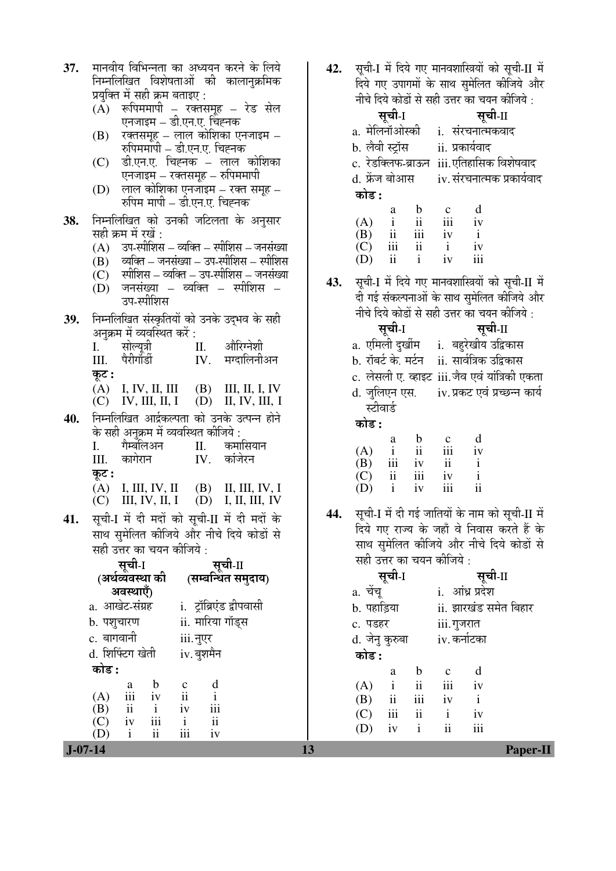| 37. | मानवीय विभिन्नता का अध्ययन करने के लिये                                                                                                                               | 42. | सूची-I में दिये गए मानवशास्त्रियों को सूची-II में                                                    |
|-----|-----------------------------------------------------------------------------------------------------------------------------------------------------------------------|-----|------------------------------------------------------------------------------------------------------|
|     | निम्नलिखित विशेषताओं की कालानुक्रमिक                                                                                                                                  |     | दिये गए उपागमों के साथ सुमेलित कीजिये और                                                             |
|     | प्रयुक्ति में सही क्रम बताइए :                                                                                                                                        |     | नीचे दिये कोडों से सही उत्तर का चयन कीजिये :                                                         |
|     | $(A)$ रूपिममापी – रक्तसमूह – रेड सेल                                                                                                                                  |     | सूची-I<br>सूची-II                                                                                    |
|     | एनजाइम – डी.एन.ए. चिह्नक                                                                                                                                              |     | a. मेलिनॉओस्की i. संरचनात्मकवाद                                                                      |
|     | रक्तसमूह – लाल कोशिका एनजाइम –<br>(B)<br>रुपिममापी – डी.एन.ए. चिह्नक                                                                                                  |     | b. लेवी स्ट्रॉस         ii. प्रकार्यवाद                                                              |
|     | डी.एन.ए. चिह्नक – लाल कोशिका<br>(C)                                                                                                                                   |     | c. रेडक्लिफ-ब्राऊन iii.एतिहासिक विशेषवाद                                                             |
|     | एनजाइम – रक्तसमूह – रुपिममापी                                                                                                                                         |     | d. फ्रेंज बोआस<br>iv. संरचनात्मक प्रकार्यवाद                                                         |
|     | $(D)$ लाल कोशिका एनजाइम – रक्त समूह –                                                                                                                                 |     | कोड :                                                                                                |
|     | रुपिम मापी – डी.एन.ए. चिह्नक                                                                                                                                          |     |                                                                                                      |
| 38. | निम्नलिखित को उनकी जटिलता के अनुसार                                                                                                                                   |     | d<br>$\mathbf b$<br>$\mathbf{c}$<br>a<br>$\ddot{\rm ii}$<br>iii<br>$\mathbf{i}$<br>(A)<br>iv         |
|     | सही क्रम में रखें :                                                                                                                                                   |     | ii<br>iii<br>(B)<br>$\mathbf{i}$<br>iv                                                               |
|     | (A) उप-स्पीशिस – व्यक्ति – स्पीशिस – जनसंख्या                                                                                                                         |     | $\,$ iii<br>ii<br>(C)<br>$\mathbf{i}$<br>iv                                                          |
|     | (B) व्यक्ति – जनसंख्या – उप-स्पीशिस – स्पीशिस                                                                                                                         |     | iii<br>$\mathbf{ii}$<br>$\mathbf{i}$<br>iv<br>(D)                                                    |
|     | (C) स्पीशिस – व्यक्ति – उप-स्पीशिस – जनसंख्या                                                                                                                         | 43. | सूची-I में दिये गए मानवशास्त्रियों को सूची-II में                                                    |
|     | $(D)$ जनसंख्या – व्यक्ति – स्पीशिस –                                                                                                                                  |     | दी गई संकल्पनाओं के साथ सुमेलित कीजिये और                                                            |
|     | उप-स्पीशिस                                                                                                                                                            |     | नीचे दिये कोडों से सही उत्तर का चयन कीजिये :                                                         |
| 39. | निम्नलिखित संस्कृतियों को उनके उद्भव के सही                                                                                                                           |     | सूची-I<br>सूची-II                                                                                    |
|     | अनुक्रम में व्यवस्थित करें :<br>औरिग्नेशी                                                                                                                             |     | a. एमिली दुर्खीम    i.  बहुरेखीय उद्विकास                                                            |
|     | सोल्यूत्री<br>I.<br>П.<br>पैरीगॉर्डी<br>मग्दालिनीअन<br>IV.<br>Ш.                                                                                                      |     | b. रॉबर्ट के. मर्टन ii. सार्वत्रिक उद्विकास                                                          |
|     | कूट :                                                                                                                                                                 |     | c. लेसली ए. व्हाइट iii.जैव एवं यांत्रिकी एकता                                                        |
|     | $(A)$ I, IV, II, III (B) III, II, IV                                                                                                                                  |     | d. जुलिएन एस. iv. प्रकट एवं प्रच्छन्न कार्य                                                          |
|     | IV, III, II, I (D) II, IV, III, I<br>(C)                                                                                                                              |     | स्टीवार्ड                                                                                            |
| 40. | निम्नलिखित आर्द्रकल्पता को उनके उत्पन्न होने                                                                                                                          |     | कोड :                                                                                                |
|     | के सही अनुक्रम में व्यवस्थित कीजिये :<br>कमासियान<br>गैम्बलिअन<br>I.                                                                                                  |     | d<br>b<br>$\mathbf{c}$<br>a                                                                          |
|     | П.<br>कांजेरन<br>कागेरान<br>IV.<br>Ш.                                                                                                                                 |     | ii<br>iii<br>(A)<br>$\mathbf{i}$<br>1V                                                               |
|     | कूट :                                                                                                                                                                 |     | iii<br>ii<br>$\mathbf{i}$<br>(B)<br>1V<br>iii<br>$\mathbf{i}$<br>$\rm ii$<br>iv                      |
|     | (A) I, III, IV, II (B) II, III, IV, I                                                                                                                                 |     | (C)<br>$\ddot{\rm ii}$<br>iii<br>$\mathbf{i}$<br>(D)<br>iv                                           |
|     | III, IV, II, I (D) I, II, III, IV<br>(C)                                                                                                                              |     |                                                                                                      |
| 41. | सूची-I में दी मदों को सूची-II में दी मदों के                                                                                                                          | 44. | सूची-I में दी गई जातियों के नाम को सूची-II में                                                       |
|     | साथ सुमेलित कीजिये और नीचे दिये कोडों से                                                                                                                              |     | दिये गए राज्य के जहाँ वे निवास करते हैं के                                                           |
|     | सही उत्तर का चयन कीजिये :                                                                                                                                             |     | साथ सुमेलित कीजिये और नीचे दिये कोडों से                                                             |
|     | सूची-I<br>सूची-I सूची-II<br>(अर्थव्यवस्था की (सम्बन्धित समुदाय)                                                                                                       |     | सही उत्तर का चयन कीजिये :                                                                            |
|     |                                                                                                                                                                       |     | सूची-I<br>सूची-II                                                                                    |
|     | अवस्थाएँ)                                                                                                                                                             |     | i. आंध्र प्रदेश<br>a. चेंचू                                                                          |
|     | i. ट्रॉब्रिएंड द्वीपवासी<br>a. आखेट-संग्रह                                                                                                                            |     | ii. झारखंड समेत बिहार<br>b. पहाड़िया                                                                 |
|     | ii. मारिया गॉड्स<br>b. पशुचारण                                                                                                                                        |     | c. पडहर<br>iii.गुजरात                                                                                |
|     | c. बागवानी<br>iii.नुएर                                                                                                                                                |     | d. जेनु कुरुबा<br>iv. कर्नाटका                                                                       |
|     | d. शिफ्टिंग खेती<br>iv. बुशमैन                                                                                                                                        |     | कोड :                                                                                                |
|     | कोड :                                                                                                                                                                 |     | d<br>$\mathbf b$<br>a<br>$\mathbf{c}$                                                                |
|     | $\frac{d}{i}$<br>$\begin{array}{ccc} & & \mathbf{0} & \mathbf{c} \\ \n\mathbf{iii} & \mathbf{iv} & \mathbf{ii} \\ \n\mathbf{ii} & \mathbf{iv} & \n\end{array}$<br>(A) |     | $\overline{\mathbf{ii}}$<br>$\mathbf{i}$<br>iii<br>(A)<br>iv                                         |
|     | $\overline{\text{iii}}$<br>(B)                                                                                                                                        |     | $\overline{\text{iii}}$<br>ii<br>$i\mathbf{v}$ $i$<br>(B)<br>iii<br>$\ddot{\rm{11}}$<br>$\mathbf{i}$ |
|     | $\begin{array}{ccc} ii & i & iv \\ iv & iii & i \end{array}$<br>ii<br>(C)                                                                                             |     | iv<br>(C)<br>ii<br>iii<br>$\mathbf{i}$<br>iv<br>(D)                                                  |
|     | iii<br>$\rm ii$<br>(D)<br>$\mathbf{i}$<br>iv                                                                                                                          |     |                                                                                                      |
|     | $J - 07 - 14$                                                                                                                                                         | 13  | Paper-II                                                                                             |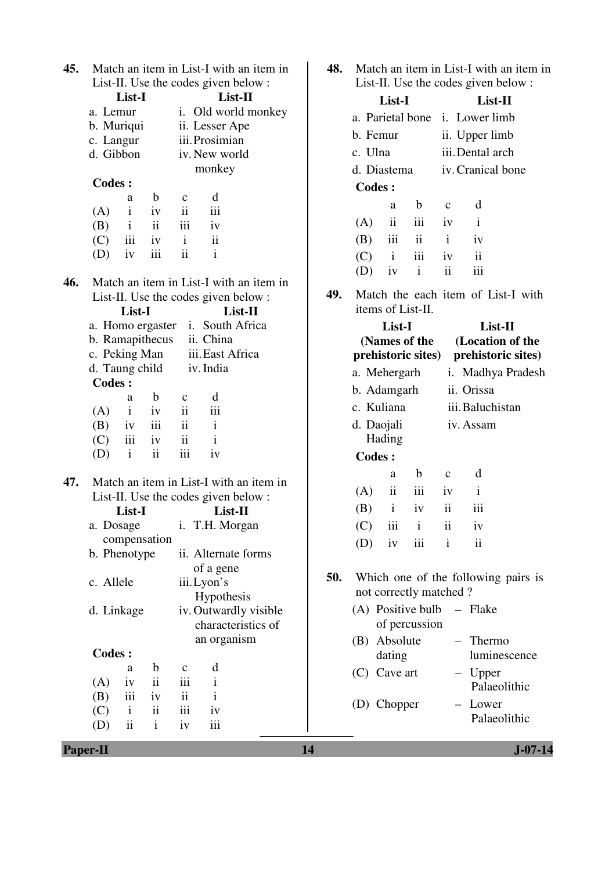| 45. |                                                 | Match an item in List-I with an item in<br>List-II. Use the codes given below : | 48. | Match an item in List-I with an item in<br>List-II. Use the codes given below : |               |                        |                         |                                     |
|-----|-------------------------------------------------|---------------------------------------------------------------------------------|-----|---------------------------------------------------------------------------------|---------------|------------------------|-------------------------|-------------------------------------|
|     | List-I                                          |                                                                                 |     | List-I                                                                          |               | List-II                |                         |                                     |
|     | a. Lemur                                        | i. Old world monkey                                                             |     |                                                                                 |               |                        |                         | a. Parietal bone i. Lower limb      |
|     | b. Muriqui                                      | ii. Lesser Ape                                                                  |     |                                                                                 |               |                        |                         |                                     |
|     | c. Langur                                       | iii. Prosimian                                                                  |     | b. Femur                                                                        |               |                        |                         | ii. Upper limb                      |
|     | d. Gibbon                                       | iv. New world                                                                   |     | c. Ulna                                                                         |               |                        |                         | iii. Dental arch                    |
|     |                                                 | monkey                                                                          |     | d. Diastema                                                                     |               |                        |                         | iv. Cranical bone                   |
|     | <b>Codes:</b>                                   |                                                                                 |     | <b>Codes:</b>                                                                   |               |                        |                         |                                     |
|     | b<br>a                                          | d<br>$\mathbf{C}$                                                               |     |                                                                                 | a             | $\mathbf b$            | $\mathbf{c}$            | d                                   |
|     | $\mathbf{i}$<br>(A)<br>iv                       | iii<br>ii                                                                       |     |                                                                                 | $\mathbf{ii}$ | iii                    |                         |                                     |
|     | ii<br>(B)<br>$\mathbf{i}$                       | iii<br>iv                                                                       |     | (A)                                                                             |               |                        | iv                      | $\bf{1}$                            |
|     | iii<br>(C)<br>iv                                | $\mathbf{ii}$<br>$\mathbf{i}$                                                   |     | (B)                                                                             | iii           | $\mathbf{ii}$          | $\mathbf{i}$            | iv                                  |
|     | iii<br>(D)<br>iv                                | $\ddot{\mathbf{i}}$<br>$\mathbf{i}$                                             |     | (C)                                                                             | $\mathbf{i}$  | iii                    | iv                      | $\ddot{\rm ii}$                     |
|     |                                                 |                                                                                 |     | (D)                                                                             | iv            | $\mathbf{i}$           | ii                      | iii                                 |
| 46. |                                                 | Match an item in List-I with an item in                                         | 49. |                                                                                 |               |                        |                         | Match the each item of List-I with  |
|     |                                                 | List-II. Use the codes given below :                                            |     |                                                                                 |               | items of List-II.      |                         |                                     |
|     | List-I                                          | List-II                                                                         |     |                                                                                 |               |                        |                         |                                     |
|     |                                                 | a. Homo ergaster i. South Africa                                                |     |                                                                                 | List-I        |                        |                         | List-II                             |
|     | b. Ramapithecus                                 | ii. China<br>iii. East Africa                                                   |     |                                                                                 |               | (Names of the          |                         | (Location of the                    |
|     | c. Peking Man                                   |                                                                                 |     |                                                                                 |               | prehistoric sites)     |                         | prehistoric sites)                  |
|     | d. Taung child<br><b>Codes:</b>                 | iv. India                                                                       |     | a. Mehergarh                                                                    |               |                        |                         | i. Madhya Pradesh                   |
|     | b<br>a                                          | d<br>$\mathbf{C}$                                                               |     | b. Adamgarh                                                                     |               |                        |                         | ii. Orissa                          |
|     | $\mathbf{i}$<br>(A)<br>iv                       | iii<br>$\ddot{\rm ii}$                                                          |     | c. Kuliana                                                                      |               |                        |                         | iii. Baluchistan                    |
|     | iii<br>(B)<br>iv                                | ii<br>$\mathbf{i}$                                                              |     | d. Daojali                                                                      |               |                        |                         | iv. Assam                           |
|     | iii<br>(C)<br>iv                                | $\mathbf{i}$<br>$\overline{\mathbf{1}}$                                         |     |                                                                                 | Hading        |                        |                         |                                     |
|     | $\rm ii$<br>$\mathbf{i}$<br>(D)                 | iii<br>iv                                                                       |     | <b>Codes:</b>                                                                   |               |                        |                         |                                     |
|     |                                                 |                                                                                 |     |                                                                                 |               |                        |                         |                                     |
| 47. |                                                 | Match an item in List-I with an item in                                         |     |                                                                                 | a             | $\mathbf b$            | $\mathbf c$             | d                                   |
|     |                                                 | List-II. Use the codes given below :                                            |     | (A)                                                                             | $\mathbf{ii}$ | iii                    | iv                      | $\mathbf{i}$                        |
|     | List-I                                          | List-II                                                                         |     | (B)                                                                             | $\mathbf{i}$  | iv                     | $\mathbf{ii}$           | iii                                 |
|     |                                                 | a. Dosage i. T.H. Morgan                                                        |     | (C)                                                                             | iii i         |                        | $\overline{\mathbf{1}}$ | 1V                                  |
|     | compensation                                    |                                                                                 |     | (D)                                                                             | iv            | iii                    | $\mathbf{i}$            | $\mathbf{ii}$                       |
|     | b. Phenotype                                    | ii. Alternate forms                                                             |     |                                                                                 |               |                        |                         |                                     |
|     |                                                 | of a gene                                                                       |     |                                                                                 |               |                        |                         |                                     |
|     | c. Allele                                       | iii. Lyon's                                                                     | 50. |                                                                                 |               |                        |                         | Which one of the following pairs is |
|     |                                                 | Hypothesis                                                                      |     |                                                                                 |               | not correctly matched? |                         |                                     |
|     | d. Linkage                                      | iv. Outwardly visible                                                           |     | (A) Positive bulb                                                               |               |                        |                         | $-$ Flake                           |
|     |                                                 | characteristics of                                                              |     |                                                                                 |               | of percussion          |                         |                                     |
|     |                                                 | an organism                                                                     |     | (B) Absolute                                                                    |               |                        | $\qquad \qquad -$       | Thermo                              |
|     | <b>Codes:</b>                                   |                                                                                 |     |                                                                                 | dating        |                        |                         | luminescence                        |
|     | b<br>a                                          | d<br>$\mathbf c$                                                                |     | $(C)$ Cave art                                                                  |               |                        |                         | Upper                               |
|     | ii<br>(A)<br>iv                                 | iii<br>$\mathbf{i}$                                                             |     |                                                                                 |               |                        |                         | Palaeolithic                        |
|     | iii<br>(B)<br>iv                                | $\overline{\mathbf{u}}$<br>$\mathbf{i}$                                         |     | (D) Chopper                                                                     |               |                        |                         | - Lower                             |
|     | $\rm ii$<br>$\mathbf{i}$<br>(C)                 | iii<br>iv                                                                       |     |                                                                                 |               |                        |                         | Palaeolithic                        |
|     | $\overline{\textbf{ii}}$<br>$\mathbf{i}$<br>(D) | iii<br>iv                                                                       |     |                                                                                 |               |                        |                         |                                     |
|     | <b>Paper-II</b>                                 |                                                                                 | 14  |                                                                                 |               |                        |                         | $J - 07 - 14$                       |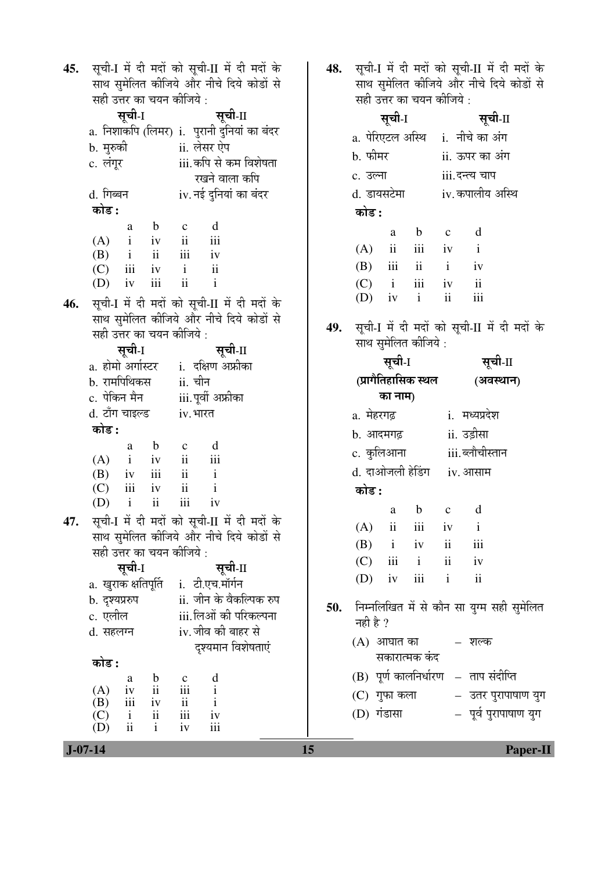| 45. | सूची-I में दी मदों को सूची-II में दी मदों के<br>साथ सुमेलित कीजिये और नीचे दिये कोडों से<br>सही उत्तर का चयन कीजिये: | सूची-I में दी मदों को सूची-II में दी मदों के<br>साथ सुमेलित कीजिये और नीचे दिये कोडों से<br>सही उत्तर का चयन कीजिये : |     |                   |                         |                      |                                 |                                      |                                              |
|-----|----------------------------------------------------------------------------------------------------------------------|-----------------------------------------------------------------------------------------------------------------------|-----|-------------------|-------------------------|----------------------|---------------------------------|--------------------------------------|----------------------------------------------|
|     | सूची-1                                                                                                               | सूची-II                                                                                                               |     | सूची-I<br>सूची-II |                         |                      |                                 |                                      |                                              |
|     | a. निशाकपि (लिमर) i. पुरानी दुनियां का बंदर                                                                          |                                                                                                                       |     |                   |                         |                      | a. पेरिएटल अस्थि i. नीचे का अंग |                                      |                                              |
|     | b. मुरुकी                                                                                                            |                                                                                                                       |     |                   |                         |                      |                                 |                                      |                                              |
|     | c. लंगूर                                                                                                             | ii. लेसर ऐप<br>iii.कपि से कम विशेषता                                                                                  |     | b. फीमर           |                         |                      |                                 | ii. ऊपर का अंग                       |                                              |
|     |                                                                                                                      | रखने वाला कपि                                                                                                         |     | c. उल्ना          |                         |                      |                                 | iii. दन्त्य चाप                      |                                              |
|     | d. गिब्बन                                                                                                            | iv. नई दुनियां का बंदर                                                                                                |     | d. डायसटेमा       |                         |                      |                                 | iv. कपालीय अस्थि                     |                                              |
|     | कोड :                                                                                                                |                                                                                                                       |     | कोड :             |                         |                      |                                 |                                      |                                              |
|     | $\mathbf b$<br>a                                                                                                     | d<br>$\mathbf{c}$                                                                                                     |     |                   | a                       | $\mathbf b$          | $\mathbf{C}$                    | d                                    |                                              |
|     | $(A)$ i iv                                                                                                           | ii<br>iii                                                                                                             |     | (A)               | ii                      | iii iv               |                                 | $\mathbf{i}$                         |                                              |
|     | $(B)$ i ii                                                                                                           | $\overline{\text{iii}}$<br>iv                                                                                         |     | (B)               | iii                     | ii                   | $\mathbf{i}$                    | iv                                   |                                              |
|     | $(C)$ iii<br>$\rm iii$<br>iv                                                                                         | $iv$ $i$ $ii$<br>$\mathbf{i}$<br>$\ddot{\rm ii}$                                                                      |     |                   |                         |                      | iii iv                          | ii                                   |                                              |
|     | (D)                                                                                                                  |                                                                                                                       |     | (C)<br>(D)        | $\mathbf{i}$<br>iv      | $\mathbf{i}$         | $\overline{\mathbf{ii}}$        | iii                                  |                                              |
| 46. |                                                                                                                      | सूची-I में दी मदों को सूची-II में दी मदों के                                                                          |     |                   |                         |                      |                                 |                                      |                                              |
|     |                                                                                                                      | साथ सुमेलित कीजिये और नीचे दिये कोडों से                                                                              | 49. |                   |                         |                      |                                 |                                      | सूची-I में दी मदों को सूची-II में दी मदों के |
|     | सही उत्तर का चयन कीजिये :                                                                                            |                                                                                                                       |     |                   |                         | साथ सुमेलित कीजिये : |                                 |                                      |                                              |
|     | सूची-I                                                                                                               | सूची-II                                                                                                               |     |                   |                         |                      |                                 | सूची-II                              |                                              |
|     |                                                                                                                      | a. होमो अर्गास्टर     i.  दक्षिण अफ्रीका                                                                              |     |                   | सूची-I                  |                      |                                 |                                      |                                              |
|     | b. रामपिथिकस                                                                                                         | ii. चीन                                                                                                               |     |                   |                         | (प्रागैतिहासिक स्थल  |                                 | (अवस्थान)                            |                                              |
|     | c. पेकिन मैन                                                                                                         | iii.पूर्वी अफ्रीका                                                                                                    |     |                   | का नाम)                 |                      |                                 |                                      |                                              |
|     | d. टॉंग चाइल्ड                                                                                                       | iv. भारत                                                                                                              |     | a. मेहरगढ़        |                         |                      |                                 | i. मध्यप्रदेश                        |                                              |
|     | कोड :                                                                                                                |                                                                                                                       |     | b. आदमगढ़         |                         |                      |                                 | ii. उड़ीसा                           |                                              |
|     | $\mathbf b$<br>a                                                                                                     | d<br>$\mathbf{c}$                                                                                                     |     | c. कुलिआना        |                         |                      |                                 | iii. ब्लौचीस्तान                     |                                              |
|     | $(A)$ i iv ii                                                                                                        | iii                                                                                                                   |     |                   |                         |                      |                                 | d. दाओजली हेडिंग iv. आसाम            |                                              |
|     | $(B)$ iv iii<br>$(C)$ iii<br>iv                                                                                      | $ii$ $i$<br>$\mathbf{i}$<br>ii                                                                                        |     |                   |                         |                      |                                 |                                      |                                              |
|     | ii<br>$\mathbf{i}$<br>(D)                                                                                            | iii<br>iv                                                                                                             |     | कोड :             |                         |                      |                                 |                                      |                                              |
|     |                                                                                                                      |                                                                                                                       |     |                   | a                       | $\mathbf b$          | $\mathbf C$                     | d                                    |                                              |
| 47. |                                                                                                                      | सूची-I में दी मदों को सूची-II में दी मदों के                                                                          |     | (A)               | $\overline{\mathbf{u}}$ | iii                  | 1V                              | $\mathbf{i}$                         |                                              |
|     |                                                                                                                      | साथ सुमेलित कीजिये और नीचे दिये कोडों से                                                                              |     | (B)               | $\mathbf{i}$            | iv                   | ii                              | iii                                  |                                              |
|     | सही उत्तर का चयन कीजिये :<br>सूची-I                                                                                  | सूची-II                                                                                                               |     | (C)               | iii                     | $\mathbf{i}$         | $\mathbf{ii}$                   | iv                                   |                                              |
|     |                                                                                                                      |                                                                                                                       |     | (D)               | iv                      | iii                  | $\mathbf{i}$                    | $\overline{\mathbf{u}}$              |                                              |
|     | a. खुराक क्षतिपूर्ति i. टी.एच.मॉर्गन                                                                                 |                                                                                                                       |     |                   |                         |                      |                                 |                                      |                                              |
|     | b. दृश्यप्ररुप                                                                                                       | ii. जीन के वैकल्पिक रुप                                                                                               | 50. |                   |                         |                      |                                 |                                      | निम्नलिखित में से कौन सा युग्म सही सुमेलित   |
|     | c. एलील                                                                                                              | iii.लिओं की परिकल्पना                                                                                                 |     | नही है ?          |                         |                      |                                 |                                      |                                              |
|     | d. सहलग्न                                                                                                            | iv. जीव की बाहर से                                                                                                    |     | (A) आघात का       |                         |                      |                                 | – शल्क                               |                                              |
|     |                                                                                                                      | दृश्यमान विशेषताएं                                                                                                    |     |                   |                         | सकारात्मक कंद        |                                 |                                      |                                              |
|     | कोड :                                                                                                                |                                                                                                                       |     |                   |                         |                      |                                 | (B) पूर्ण कालनिर्धारण – ताप संदीप्ति |                                              |
|     | b<br>a<br>$\mathbf{ii}$<br>(A)<br>iv                                                                                 | $\mathbf d$<br>$\mathbf c$<br>iii<br>$\rm i$                                                                          |     |                   |                         |                      |                                 |                                      |                                              |
|     | $\rm iii$<br>(B)<br>iv                                                                                               | ii<br>$\mathbf{i}$                                                                                                    |     | (C) गुफा कला      |                         |                      |                                 |                                      | – उतर पुरापाषाण युग                          |
|     | ii                                                                                                                   | $\,$ iii<br>iv                                                                                                        |     | (D) गंडासा        |                         |                      |                                 |                                      | – पूर्व पुरापाषाण युग                        |
|     | $\mathbf{i}$<br>(C)<br>ii<br>$\mathbf{i}$<br>(D)                                                                     | iii<br>iv                                                                                                             |     |                   |                         |                      |                                 |                                      |                                              |

 **J-07-14 15 Paper-II**